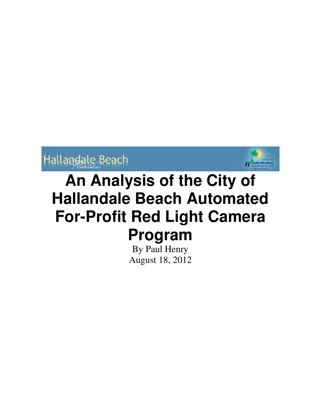



By Paul Henry August 18, 2012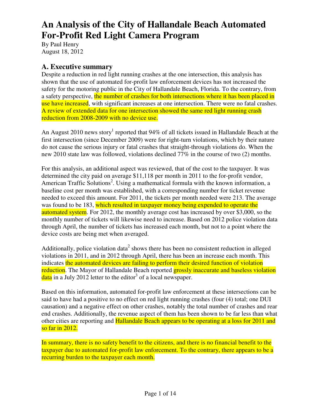By Paul Henry August 18, 2012

# **A. Executive summary**

Despite a reduction in red light running crashes at the one intersection, this analysis has shown that the use of automated for-profit law enforcement devices has not increased the safety for the motoring public in the City of Hallandale Beach, Florida. To the contrary, from a safety perspective, the number of crashes for both intersections where it has been placed in use have increased, with significant increases at one intersection. There were no fatal crashes. A review of extended data for one intersection showed the same red light running crash reduction from 2008-2009 with no device use.

An August 2010 news story<sup>1</sup> reported that 94% of all tickets issued in Hallandale Beach at the first intersection (since December 2009) were for right-turn violations, which by their nature do not cause the serious injury or fatal crashes that straight-through violations do. When the new 2010 state law was followed, violations declined 77% in the course of two (2) months.

For this analysis, an additional aspect was reviewed, that of the cost to the taxpayer. It was determined the city paid on average \$11,118 per month in 2011 to the for-profit vendor, American Traffic Solutions<sup>2</sup>. Using a mathematical formula with the known information, a baseline cost per month was established, with a corresponding number for ticket revenue needed to exceed this amount. For 2011, the tickets per month needed were 213. The average was found to be 183, which resulted in taxpayer money being expended to operate the automated system. For 2012, the monthly average cost has increased by over \$3,000, so the monthly number of tickets will likewise need to increase. Based on 2012 police violation data through April, the number of tickets has increased each month, but not to a point where the device costs are being met when averaged.

Additionally, police violation data<sup>2</sup> shows there has been no consistent reduction in alleged violations in 2011, and in 2012 through April, there has been an increase each month. This indicates the automated devices are failing to perform their desired function of violation reduction. The Mayor of Hallandale Beach reported grossly inaccurate and baseless violation  $data$  in a July 2012 letter to the editor<sup>3</sup> of a local newspaper.

Based on this information, automated for-profit law enforcement at these intersections can be said to have had a positive to no effect on red light running crashes (four (4) total; one DUI causation) and a negative effect on other crashes, notably the total number of crashes and rear end crashes. Additionally, the revenue aspect of them has been shown to be far less than what other cities are reporting and **Hallandale Beach appears to be operating at a loss for 2011 and** so far in 2012.

In summary, there is no safety benefit to the citizens, and there is no financial benefit to the taxpayer due to automated for-profit law enforcement. To the contrary, there appears to be a recurring burden to the taxpayer each month.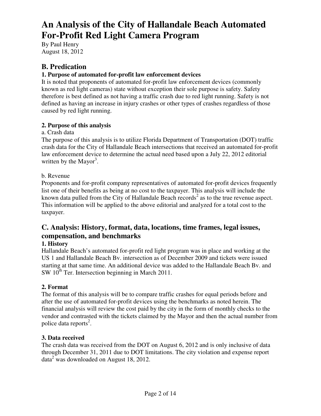By Paul Henry August 18, 2012

# **B. Predication**

### **1. Purpose of automated for-profit law enforcement devices**

It is noted that proponents of automated for-profit law enforcement devices (commonly known as red light cameras) state without exception their sole purpose is safety. Safety therefore is best defined as not having a traffic crash due to red light running. Safety is not defined as having an increase in injury crashes or other types of crashes regardless of those caused by red light running.

### **2. Purpose of this analysis**

### a. Crash data

The purpose of this analysis is to utilize Florida Department of Transportation (DOT) traffic crash data for the City of Hallandale Beach intersections that received an automated for-profit law enforcement device to determine the actual need based upon a July 22, 2012 editorial written by the Mayor<sup>3</sup>.

## b. Revenue

Proponents and for-profit company representatives of automated for-profit devices frequently list one of their benefits as being at no cost to the taxpayer. This analysis will include the known data pulled from the City of Hallandale Beach records<sup>2</sup> as to the true revenue aspect. This information will be applied to the above editorial and analyzed for a total cost to the taxpayer.

# **C. Analysis: History, format, data, locations, time frames, legal issues, compensation, and benchmarks**

### **1. History**

Hallandale Beach's automated for-profit red light program was in place and working at the US 1 and Hallandale Beach Bv. intersection as of December 2009 and tickets were issued starting at that same time. An additional device was added to the Hallandale Beach Bv. and  $SW 10<sup>th</sup>$  Ter. Intersection beginning in March 2011.

# **2. Format**

The format of this analysis will be to compare traffic crashes for equal periods before and after the use of automated for-profit devices using the benchmarks as noted herein. The financial analysis will review the cost paid by the city in the form of monthly checks to the vendor and contrasted with the tickets claimed by the Mayor and then the actual number from police data reports<sup>2</sup>.

### **3. Data received**

The crash data was received from the DOT on August 6, 2012 and is only inclusive of data through December 31, 2011 due to DOT limitations. The city violation and expense report data<sup>2</sup> was downloaded on August 18, 2012.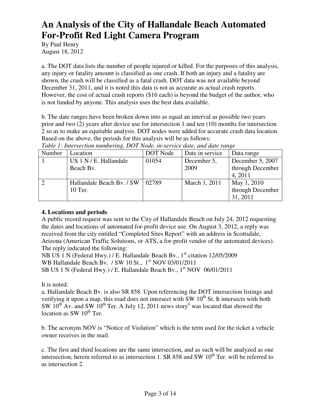By Paul Henry August 18, 2012

a. The DOT data lists the number of people injured or killed. For the purposes of this analysis, any injury or fatality amount is classified as one crash. If both an injury and a fatality are shown, the crash will be classified as a fatal crash. DOT data was not available beyond December 31, 2011, and it is noted this data is not as accurate as actual crash reports. However, the cost of actual crash reports (\$16 each) is beyond the budget of the author, who is not funded by anyone. This analysis uses the best data available.

b. The date ranges have been broken down into as equal an interval as possible two years prior and two (2) years after device use for intersection 1 and ten (10) months for intersection 2 so as to make an equitable analysis. DOT nodes were added for accurate crash data location. Based on the above, the periods for this analysis will be as follows:

| Number | Location                  | DOT Node | Date in service | Data range       |
|--------|---------------------------|----------|-----------------|------------------|
|        | US 1 N / E. Hallandale    | 01054    | December 5,     | December 5, 2007 |
|        | Beach By.                 |          | 2009            | through December |
|        |                           |          |                 | 4, 2011          |
|        | Hallandale Beach By. / SW | 02789    | March 1, 2011   | May 1, 2010      |
|        | 10 Ter.                   |          |                 | through December |
|        |                           |          |                 | 31, 2011         |

*Table 1: Intersection numbering, DOT Node, in-service date, and date range* 

### **4. Locations and periods**

A public record request was sent to the City of Hallandale Beach on July 24, 2012 requesting the dates and locations of automated for-profit device use. On August 3, 2012, a reply was received from the city entitled "Completed Sites Report" with an address in Scottsdale, Arizona (American Traffic Solutions, or ATS, a for-profit vendor of the automated devices). The reply indicated the following:

NB US 1 N (Federal Hwy.) / E. Hallandale Beach Bv., 1<sup>st</sup> citation 12/05/2009 WB Hallandale Beach Bv. / SW 10 St., 1<sup>st</sup> NOV 03/01/2011 SB US 1 N (Federal Hwy.) / E. Hallandale Beach Bv., 1<sup>st</sup> NOV 06/01/2011

It is noted:

a. Hallandale Beach Bv. is also SR 858. Upon referencing the DOT intersection listings and verifying it upon a map, this road does not intersect with  $SW 10<sup>th</sup>$  St. It intersects with both SW  $10^{th}$  Av. and SW  $10^{th}$  Ter. A July 12, 2011 news story<sup>4</sup> was located that showed the location as  $SW 10<sup>th</sup>$  Ter.

b. The acronym NOV is "Notice of Violation" which is the term used for the ticket a vehicle owner receives in the mail.

c. The first and third locations are the same intersection, and as such will be analyzed as one intersection, herein referred to as intersection 1. SR 858 and SW  $10<sup>th</sup>$  Ter. will be referred to as intersection 2.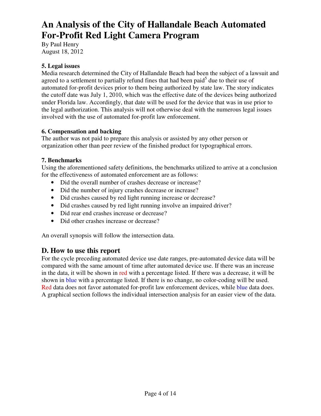By Paul Henry August 18, 2012

### **5. Legal issues**

Media research determined the City of Hallandale Beach had been the subject of a lawsuit and agreed to a settlement to partially refund fines that had been paid $<sup>5</sup>$  due to their use of</sup> automated for-profit devices prior to them being authorized by state law. The story indicates the cutoff date was July 1, 2010, which was the effective date of the devices being authorized under Florida law. Accordingly, that date will be used for the device that was in use prior to the legal authorization. This analysis will not otherwise deal with the numerous legal issues involved with the use of automated for-profit law enforcement.

### **6. Compensation and backing**

The author was not paid to prepare this analysis or assisted by any other person or organization other than peer review of the finished product for typographical errors.

### **7. Benchmarks**

Using the aforementioned safety definitions, the benchmarks utilized to arrive at a conclusion for the effectiveness of automated enforcement are as follows:

- Did the overall number of crashes decrease or increase?
- Did the number of injury crashes decrease or increase?
- Did crashes caused by red light running increase or decrease?
- Did crashes caused by red light running involve an impaired driver?
- Did rear end crashes increase or decrease?
- Did other crashes increase or decrease?

An overall synopsis will follow the intersection data.

### **D. How to use this report**

For the cycle preceding automated device use date ranges, pre-automated device data will be compared with the same amount of time after automated device use. If there was an increase in the data, it will be shown in red with a percentage listed. If there was a decrease, it will be shown in blue with a percentage listed. If there is no change, no color-coding will be used. Red data does not favor automated for-profit law enforcement devices, while blue data does. A graphical section follows the individual intersection analysis for an easier view of the data.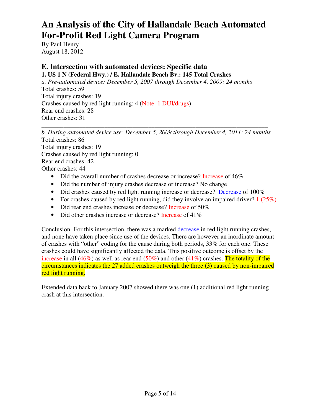By Paul Henry August 18, 2012

# **E. Intersection with automated devices: Specific data**

**1. US 1 N (Federal Hwy.) / E. Hallandale Beach Bv.: 145 Total Crashes** 

*a. Pre-automated device: December 5, 2007 through December 4, 2009: 24 months*  Total crashes: 59 Total injury crashes: 19 Crashes caused by red light running: 4 (Note: 1 DUI/drugs) Rear end crashes: 28 Other crashes: 31

*b. During automated device use: December 5, 2009 through December 4, 2011: 24 months*  Total crashes: 86 Total injury crashes: 19 Crashes caused by red light running: 0 Rear end crashes: 42 Other crashes: 44

\_\_\_\_\_\_\_\_\_\_\_\_\_\_\_\_\_\_\_\_\_\_\_\_\_\_\_\_\_\_\_\_\_\_\_\_\_\_\_\_\_\_\_\_\_\_\_\_\_\_\_\_\_\_\_\_\_\_\_\_\_\_\_\_\_\_\_\_\_\_\_\_

- Did the overall number of crashes decrease or increase? Increase of 46%
- Did the number of injury crashes decrease or increase? No change
- Did crashes caused by red light running increase or decrease? Decrease of 100%
- For crashes caused by red light running, did they involve an impaired driver?  $1(25%)$
- Did rear end crashes increase or decrease? Increase of 50%
- Did other crashes increase or decrease? Increase of 41%

Conclusion- For this intersection, there was a marked decrease in red light running crashes, and none have taken place since use of the devices. There are however an inordinate amount of crashes with "other" coding for the cause during both periods, 33% for each one. These crashes could have significantly affected the data. This positive outcome is offset by the increase in all (46%) as well as rear end (50%) and other (41%) crashes. The totality of the circumstances indicates the 27 added crashes outweigh the three (3) caused by non-impaired red light running.

Extended data back to January 2007 showed there was one (1) additional red light running crash at this intersection.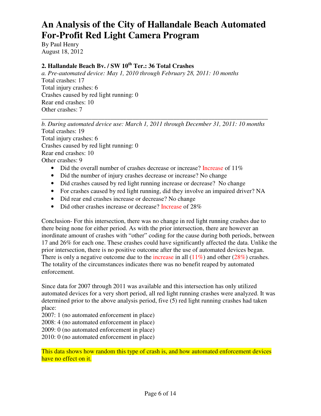By Paul Henry August 18, 2012

# **2. Hallandale Beach Bv. / SW 10th Ter.: 36 Total Crashes**

*a. Pre-automated device: May 1, 2010 through February 28, 2011: 10 months*  Total crashes: 17 Total injury crashes: 6 Crashes caused by red light running: 0 Rear end crashes: 10 Other crashes: 7

*b. During automated device use: March 1, 2011 through December 31, 2011: 10 months*  Total crashes: 19 Total injury crashes: 6 Crashes caused by red light running: 0 Rear end crashes: 10 Other crashes: 9

\_\_\_\_\_\_\_\_\_\_\_\_\_\_\_\_\_\_\_\_\_\_\_\_\_\_\_\_\_\_\_\_\_\_\_\_\_\_\_\_\_\_\_\_\_\_\_\_\_\_\_\_\_\_\_\_\_\_\_\_\_\_\_\_\_\_\_\_\_\_\_\_

- Did the overall number of crashes decrease or increase? Increase of 11%
- Did the number of injury crashes decrease or increase? No change
- Did crashes caused by red light running increase or decrease? No change
- For crashes caused by red light running, did they involve an impaired driver? NA
- Did rear end crashes increase or decrease? No change
- Did other crashes increase or decrease? Increase of 28%

Conclusion- For this intersection, there was no change in red light running crashes due to there being none for either period. As with the prior intersection, there are however an inordinate amount of crashes with "other" coding for the cause during both periods, between 17 and 26% for each one. These crashes could have significantly affected the data. Unlike the prior intersection, there is no positive outcome after the use of automated devices began. There is only a negative outcome due to the increase in all  $(11\%)$  and other  $(28\%)$  crashes. The totality of the circumstances indicates there was no benefit reaped by automated enforcement.

Since data for 2007 through 2011 was available and this intersection has only utilized automated devices for a very short period, all red light running crashes were analyzed. It was determined prior to the above analysis period, five (5) red light running crashes had taken place:

2007: 1 (no automated enforcement in place)

2008: 4 (no automated enforcement in place)

2009: 0 (no automated enforcement in place)

2010: 0 (no automated enforcement in place)

This data shows how random this type of crash is, and how automated enforcement devices have no effect on it.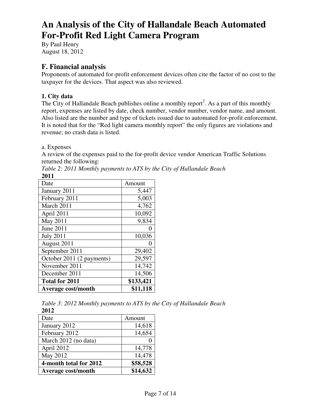By Paul Henry August 18, 2012

# **F. Financial analysis**

Proponents of automated for-profit enforcement devices often cite the factor of no cost to the taxpayer for the devices. That aspect was also reviewed.

## **1. City data**

The City of Hallandale Beach publishes online a monthly report<sup>2</sup>. As a part of this monthly report, expenses are listed by date, check number, vendor number, vendor name, and amount. Also listed are the number and type of tickets issued due to automated for-profit enforcement. It is noted that for the "Red light camera monthly report" the only figures are violations and revenue; no crash data is listed.

### a. Expenses

A review of the expenses paid to the for-profit device vendor American Traffic Solutions returned the following:

| 2VI 1                     |           |
|---------------------------|-----------|
| Date                      | Amount    |
| January 2011              | 5,447     |
| February 2011             | 5,003     |
| March 2011                | 4,762     |
| April 2011                | 10,092    |
| May 2011                  | 9,834     |
| June 2011                 |           |
| <b>July 2011</b>          | 10,036    |
| August 2011               |           |
| September 2011            | 29,402    |
| October 2011 (2 payments) | 29,597    |
| November 2011             | 14,742    |
| December 2011             | 14,506    |
| <b>Total for 2011</b>     | \$133,421 |
| <b>Average cost/month</b> | \$11,118  |

*Table 2: 2011 Monthly payments to ATS by the City of Hallandale Beach* 

**2011** 

*Table 3: 2012 Monthly payments to ATS by the City of Hallandale Beach*  **2012** 

| Date                      | Amount   |
|---------------------------|----------|
| January 2012              | 14,618   |
| February 2012             | 14,654   |
| March 2012 (no data)      |          |
| April 2012                | 14,778   |
| May 2012                  | 14,478   |
| 4-month total for 2012    | \$58,528 |
| <b>Average cost/month</b> | \$14,632 |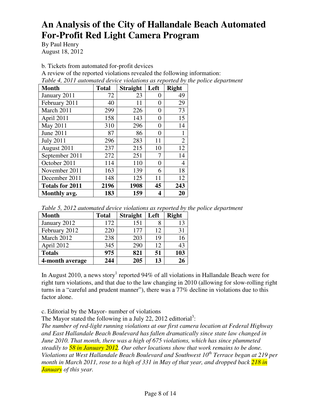By Paul Henry August 18, 2012

b. Tickets from automated for-profit devices

A review of the reported violations revealed the following information:

*Table 4, 2011 automated device violations as reported by the police department* 

| <b>Month</b>           | <b>Total</b> | <b>Straight</b> | Left | <b>Right</b>   |
|------------------------|--------------|-----------------|------|----------------|
| January 2011           | 72           | 23              | 0    | 49             |
| February 2011          | 40           | 11              | 0    | 29             |
| March 2011             | 299          | 226             | 0    | 73             |
| April 2011             | 158          | 143             | 0    | 15             |
| May 2011               | 310          | 296             | 0    | 14             |
| June 2011              | 87           | 86              | 0    | 1              |
| <b>July 2011</b>       | 296          | 283             | 11   | $\overline{2}$ |
| August 2011            | 237          | 215             | 10   | 12             |
| September 2011         | 272          | 251             | 7    | 14             |
| October 2011           | 114          | 110             | 0    | 4              |
| November 2011          | 163          | 139             | 6    | 18             |
| December 2011          | 148          | 125             | 11   | 12             |
| <b>Totals for 2011</b> | 2196         | 1908            | 45   | 243            |
| Monthly avg.           | 183          | 159             | 4    | 20             |

| Table 5, 2012 automated device violations as reported by the police department |  |  |
|--------------------------------------------------------------------------------|--|--|
|--------------------------------------------------------------------------------|--|--|

| <b>Month</b>    | <b>Total</b> | <b>Straight</b> | Left | <b>Right</b> |
|-----------------|--------------|-----------------|------|--------------|
| January 2012    | 172          | 151             |      | 13           |
| February 2012   | 220          | 177             | 12   | 31           |
| March 2012      | 238          | 203             | 19   | 16           |
| April 2012      | 345          | 290             | 12   | 43           |
| <b>Totals</b>   | 975          | 821             | 51   | 103          |
| 4-month average | 244          | 205             | 13   |              |

In August 2010, a news story<sup>1</sup> reported 94% of all violations in Hallandale Beach were for right turn violations, and that due to the law changing in 2010 (allowing for slow-rolling right turns in a "careful and prudent manner"), there was a 77% decline in violations due to this factor alone.

c. Editorial by the Mayor- number of violations

The Mayor stated the following in a July 22, 2012 edittorial<sup>3</sup>:

*The number of red-light running violations at our first camera location at Federal Highway and East Hallandale Beach Boulevard has fallen dramatically since state law changed in June 2010. That month, there was a high of 675 violations, which has since plummeted steadily to 58 in January 2012. Our other locations show that work remains to be done. Violations at West Hallandale Beach Boulevard and Southwest 10th Terrace began at 219 per month in March 2011, rose to a high of 331 in May of that year, and dropped back 218 in January of this year.*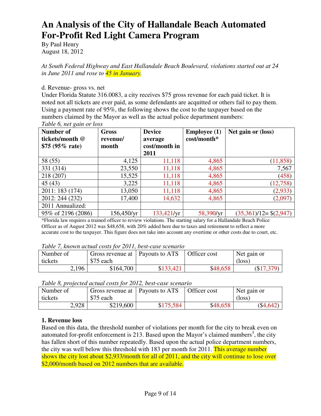By Paul Henry August 18, 2012

*At South Federal Highway and East Hallandale Beach Boulevard, violations started out at 24 in June 2011 and rose to 45 in January.* 

d. Revenue- gross vs. net

Under Florida Statute 316.0083, a city receives \$75 gross revenue for each paid ticket. It is noted not all tickets are ever paid, as some defendants are acquitted or others fail to pay them. Using a payment rate of 95%, the following shows the cost to the taxpayer based on the numbers claimed by the Mayor as well as the actual police department numbers:

| <b>Number of</b><br>tickets/month @<br>\$75 $(95\% \text{ rate})$ | <b>Gross</b><br>revenue/<br>month | <b>Device</b><br>average<br>cost/month in | <b>Employee</b> $(1)$<br>cost/month* | Net gain or (loss)           |
|-------------------------------------------------------------------|-----------------------------------|-------------------------------------------|--------------------------------------|------------------------------|
|                                                                   |                                   | 2011                                      |                                      |                              |
| 58 (55)                                                           | 4,125                             | 11,118                                    | 4,865                                | (11, 858)                    |
| 331 (314)                                                         | 23,550                            | 11,118                                    | 4,865                                | 7,567                        |
| 218 (207)                                                         | 15,525                            | 11,118                                    | 4,865                                | (458)                        |
| 45 (43)                                                           | 3,225                             | 11,118                                    | 4,865                                | (12,758)                     |
| 2011: 183 (174)                                                   | 13,050                            | 11,118                                    | 4,865                                | (2,933)                      |
| 2012: 244 (232)                                                   | 17,400                            | 14,632                                    | 4,865                                | (2,097)                      |
| 2011 Annualized:                                                  |                                   |                                           |                                      |                              |
| 95% of 2196 (2086)                                                | 156,450/yr                        | 133,421/yr                                | 58,390/yr                            | $(35,361)/12 =$ \$ $(2,947)$ |

*Table 6, net gain or loss* 

\*Florida law requires a trained officer to review violations. The starting salary for a Hallandale Beach Police Officer as of August 2012 was \$48,658, with 20% added here due to taxes and retirement to reflect a more accurate cost to the taxpayer. This figure does not take into account any overtime or other costs due to court, etc.

*Table 7, known actual costs for 2011, best-case scenario* 

| Number of<br>tickets | Gross revenue at   Payouts to ATS<br>\$75 each |           | Officer cost | Net gain or<br>$(\text{loss})$ |
|----------------------|------------------------------------------------|-----------|--------------|--------------------------------|
| 2,196                | \$164,700                                      | \$133,421 | \$48,658     | (\$17,379)                     |

*Table 8, projected actual costs for 2012, best-case scenario* 

| Number of | Gross revenue at   Payouts to ATS |           | Officer cost | Net gain or |
|-----------|-----------------------------------|-----------|--------------|-------------|
| tickets   | \$75 each                         |           |              | (loss)      |
| 2,928     | \$219,600                         | \$175,584 | \$48,658     | $(\$4,642)$ |

### **1. Revenue loss**

Based on this data, the threshold number of violations per month for the city to break even on automated for-profit enforcement is 213. Based upon the Mayor's claimed numbers<sup>3</sup>, the city has fallen short of this number repeatedly. Based upon the actual police department numbers, the city was well below this threshold with 183 per month for 2011. This average number shows the city lost about \$2,933/month for all of 2011, and the city will continue to lose over \$2,000/month based on 2012 numbers that are available.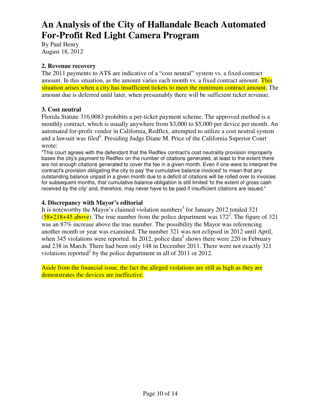By Paul Henry August 18, 2012

### **2. Revenue recovery**

The 2011 payments to ATS are indicative of a "cost neutral" system vs. a fixed contract amount. In this situation, as the amount varies each month vs. a fixed contract amount. This situation arises when a city has insufficient tickets to meet the minimum contract amount. The amount due is deferred until later, when presumably there will be sufficient ticket revenue.

### **3. Cost neutral**

Florida Statute 316.0083 prohibits a per-ticket payment scheme. The approved method is a monthly contract, which is usually anywhere from \$3,000 to \$5,000 per device per month. An automated for-profit vendor in California, Redflex, attempted to utilize a cost neutral system and a lawsuit was filed<sup>6</sup>. Presiding Judge Diane M. Price of the California Superior Court wrote:

"This court agrees with the defendant that the Redflex contract's cost neutrality provision improperly bases the city's payment to Redflex on the number of citations generated, at least to the extent there are not enough citations generated to cover the fee in a given month. Even if one were to interpret the contract's provision obligating the city to pay 'the cumulative balance invoiced' to mean that any outstanding balance unpaid in a given month due to a deficit of citations will be rolled over to invoices for subsequent months, that cumulative balance obligation is still limited 'to the extent of gross cash received by the city' and, therefore, may never have to be paid if insufficient citations are issued."

### **4. Discrepancy with Mayor's editorial**

It is noteworthy the Mayor's claimed violation numbers<sup>3</sup> for January 2012 totaled 321  $(58+218+45)$  above). The true number from the police department was 172<sup>2</sup>. The figure of 321 was an 87% increase above the true number. The possibility the Mayor was referencing another month or year was examined. The number 321 was not eclipsed in 2012 until April, when 345 violations were reported. In 2012, police data<sup>2</sup> shows there were 220 in February and 238 in March. There had been only 148 in December 2011. There were not exactly 321 violations reported<sup>2</sup> by the police department in all of 2011 or 2012.

Aside from the financial issue, the fact the alleged violations are still as high as they are demonstrates the devices are ineffective.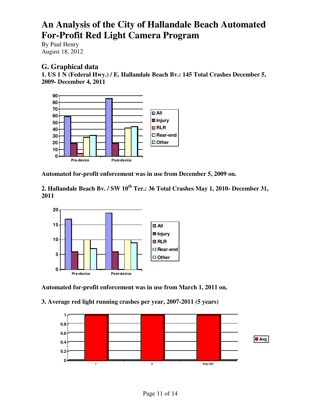By Paul Henry August 18, 2012

# **G. Graphical data**

**1. US 1 N (Federal Hwy.) / E. Hallandale Beach Bv.: 145 Total Crashes December 5, 2009- December 4, 2011** 



**Automated for-profit enforcement was in use from December 5, 2009 on.** 

**2. Hallandale Beach Bv. / SW 10th Ter.: 36 Total Crashes May 1, 2010- December 31, 2011** 



**Automated for-profit enforcement was in use from March 1, 2011 on.** 

**3. Average red light running crashes per year, 2007-2011 (5 years)** 

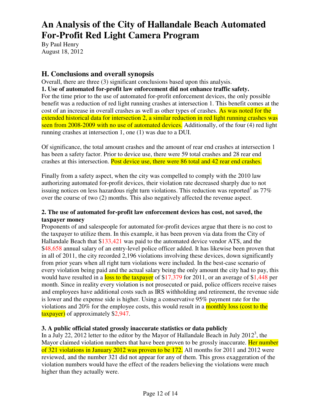By Paul Henry August 18, 2012

# **H. Conclusions and overall synopsis**

Overall, there are three (3) significant conclusions based upon this analysis. **1. Use of automated for-profit law enforcement did not enhance traffic safety.**  For the time prior to the use of automated for-profit enforcement devices, the only possible benefit was a reduction of red light running crashes at intersection 1. This benefit comes at the cost of an increase in overall crashes as well as other types of crashes. As was noted for the extended historical data for intersection 2, a similar reduction in red light running crashes was seen from 2008-2009 with no use of automated devices. Additionally, of the four (4) red light running crashes at intersection 1, one (1) was due to a DUI.

Of significance, the total amount crashes and the amount of rear end crashes at intersection 1 has been a safety factor. Prior to device use, there were 59 total crashes and 28 rear end crashes at this intersection. Post device use, there were 86 total and 42 rear end crashes.

Finally from a safety aspect, when the city was compelled to comply with the 2010 law authorizing automated for-profit devices, their violation rate decreased sharply due to not issuing notices on less hazardous right turn violations. This reduction was reported<sup>1</sup> as  $77\%$ over the course of two (2) months. This also negatively affected the revenue aspect.

### **2. The use of automated for-profit law enforcement devices has cost, not saved, the taxpayer money**

Proponents of and salespeople for automated for-profit devices argue that there is no cost to the taxpayer to utilize them. In this example, it has been proven via data from the City of Hallandale Beach that \$133,421 was paid to the automated device vendor ATS, and the \$48,658 annual salary of an entry-level police officer added. It has likewise been proven that in all of 2011, the city recorded 2,196 violations involving these devices, down significantly from prior years when all right turn violations were included. In the best-case scenario of every violation being paid and the actual salary being the only amount the city had to pay, this would have resulted in a loss to the taxpayer of \$17,379 for 2011, or an average of \$1,448 per month. Since in reality every violation is not prosecuted or paid, police officers receive raises and employees have additional costs such as IRS withholding and retirement, the revenue side is lower and the expense side is higher. Using a conservative 95% payment rate for the violations and 20% for the employee costs, this would result in a monthly loss (cost to the taxpayer) of approximately \$2,947.

### **3. A public official stated grossly inaccurate statistics or data publicly**

In a July 22, 2012 letter to the editor by the Mayor of Hallandale Beach in July 2012<sup>3</sup>, the Mayor claimed violation numbers that have been proven to be grossly inaccurate. Her number of 321 violations in January 2012 was proven to be 172. All months for 2011 and 2012 were reviewed, and the number 321 did not appear for any of them. This gross exaggeration of the violation numbers would have the effect of the readers believing the violations were much higher than they actually were.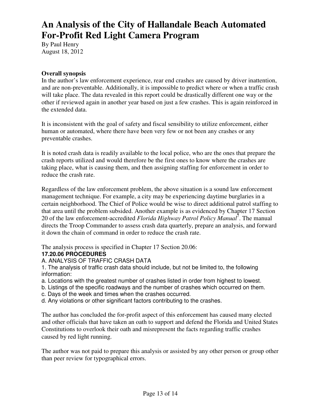By Paul Henry August 18, 2012

#### **Overall synopsis**

In the author's law enforcement experience, rear end crashes are caused by driver inattention, and are non-preventable. Additionally, it is impossible to predict where or when a traffic crash will take place. The data revealed in this report could be drastically different one way or the other if reviewed again in another year based on just a few crashes. This is again reinforced in the extended data.

It is inconsistent with the goal of safety and fiscal sensibility to utilize enforcement, either human or automated, where there have been very few or not been any crashes or any preventable crashes.

It is noted crash data is readily available to the local police, who are the ones that prepare the crash reports utilized and would therefore be the first ones to know where the crashes are taking place, what is causing them, and then assigning staffing for enforcement in order to reduce the crash rate.

Regardless of the law enforcement problem, the above situation is a sound law enforcement management technique. For example, a city may be experiencing daytime burglaries in a certain neighborhood. The Chief of Police would be wise to direct additional patrol staffing to that area until the problem subsided. Another example is as evidenced by Chapter 17 Section 20 of the law enforcement-accredited *Florida Highway Patrol Policy Manual*<sup>7</sup>. The manual directs the Troop Commander to assess crash data quarterly, prepare an analysis, and forward it down the chain of command in order to reduce the crash rate.

The analysis process is specified in Chapter 17 Section 20.06:

### **17.20.06 PROCEDURES**

### A. ANALYSIS OF TRAFFIC CRASH DATA

1. The analysis of traffic crash data should include, but not be limited to, the following information:

- a. Locations with the greatest number of crashes listed in order from highest to lowest.
- b. Listings of the specific roadways and the number of crashes which occurred on them.
- c. Days of the week and times when the crashes occurred.
- d. Any violations or other significant factors contributing to the crashes.

The author has concluded the for-profit aspect of this enforcement has caused many elected and other officials that have taken an oath to support and defend the Florida and United States Constitutions to overlook their oath and misrepresent the facts regarding traffic crashes caused by red light running.

The author was not paid to prepare this analysis or assisted by any other person or group other than peer review for typographical errors.